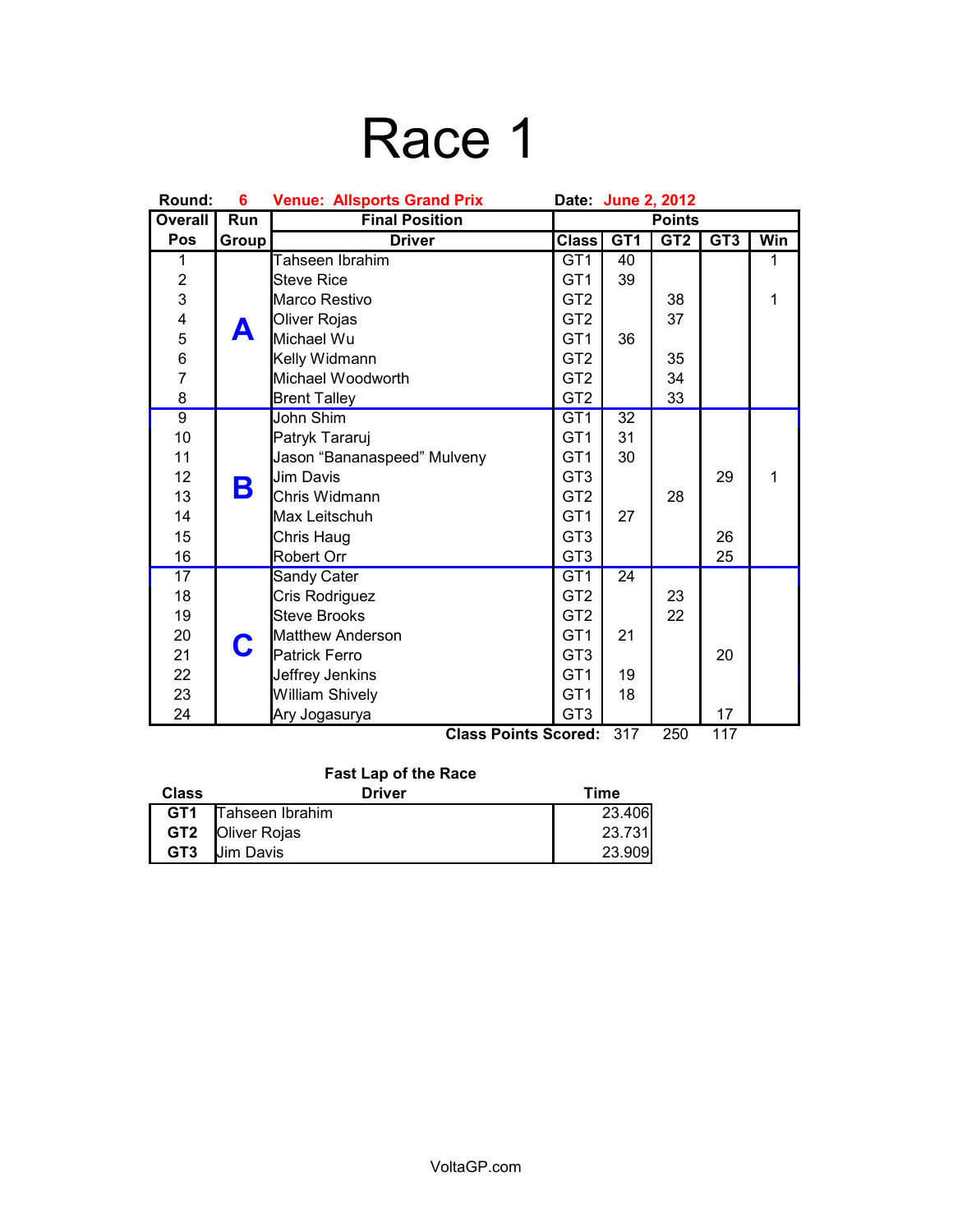# Race 1

| Round:         | 6          | <b>Venue: Allsports Grand Prix</b><br>Date: June 2, 2012 |                 |                          |                 |                 |              |
|----------------|------------|----------------------------------------------------------|-----------------|--------------------------|-----------------|-----------------|--------------|
| <b>Overall</b> | <b>Run</b> | <b>Final Position</b>                                    | <b>Points</b>   |                          |                 |                 |              |
| Pos            | Group      | <b>Driver</b>                                            | Class           | GT <sub>1</sub>          | GT <sub>2</sub> | GT <sub>3</sub> | Win          |
| 1              |            | Tahseen Ibrahim                                          | GT <sub>1</sub> | 40                       |                 |                 | 1            |
| $\overline{c}$ |            | <b>Steve Rice</b>                                        | GT <sub>1</sub> | 39                       |                 |                 |              |
| 3              |            | Marco Restivo                                            | GT <sub>2</sub> |                          | 38              |                 | $\mathbf{1}$ |
| 4              |            | Oliver Rojas                                             | GT <sub>2</sub> |                          | 37              |                 |              |
|                | А          | Michael Wu                                               | GT <sub>1</sub> | 36                       |                 |                 |              |
| 5<br>6<br>7    |            | Kelly Widmann                                            | GT <sub>2</sub> |                          | 35              |                 |              |
|                |            | Michael Woodworth                                        | GT <sub>2</sub> |                          | 34              |                 |              |
| 8              |            | <b>Brent Talley</b>                                      | GT <sub>2</sub> |                          | 33              |                 |              |
| $\overline{9}$ |            | John Shim                                                | GT <sub>1</sub> | 32                       |                 |                 |              |
| 10             |            | Patryk Tararuj                                           | GT <sub>1</sub> | 31                       |                 |                 |              |
| 11             |            | Jason "Bananaspeed" Mulveny                              | GT <sub>1</sub> | 30                       |                 |                 |              |
| 12             | B          | <b>Jim Davis</b>                                         | GT <sub>3</sub> |                          |                 | 29              | 1            |
| 13             |            | Chris Widmann                                            | GT <sub>2</sub> |                          | 28              |                 |              |
| 14             |            | Max Leitschuh                                            | GT <sub>1</sub> | 27                       |                 |                 |              |
| 15             |            | Chris Haug                                               | GT <sub>3</sub> |                          |                 | 26              |              |
| 16             |            | Robert Orr                                               | GT <sub>3</sub> |                          |                 | 25              |              |
| 17             |            | Sandy Cater                                              | GT <sub>1</sub> | 24                       |                 |                 |              |
| 18             | C          | Cris Rodriguez                                           | GT <sub>2</sub> |                          | 23              |                 |              |
| 19             |            | <b>Steve Brooks</b>                                      | GT <sub>2</sub> |                          | 22              |                 |              |
| 20             |            | <b>Matthew Anderson</b>                                  | GT <sub>1</sub> | 21                       |                 |                 |              |
| 21             |            | <b>Patrick Ferro</b>                                     | GT <sub>3</sub> |                          |                 | 20              |              |
| 22             |            | Jeffrey Jenkins                                          | GT <sub>1</sub> | 19                       |                 |                 |              |
| 23             |            | <b>William Shively</b>                                   | GT <sub>1</sub> | 18                       |                 |                 |              |
| 24             |            | Ary Jogasurya<br><b></b>                                 | GT <sub>3</sub> | $\overline{\phantom{0}}$ |                 | 17              |              |

**Class Points Scored:** 317 250 117

### **Fast Lap of the Race**

| <b>Class</b>    | <b>Driver</b>           | Time   |
|-----------------|-------------------------|--------|
| GT <sub>1</sub> | Tahseen Ibrahim         | 23.406 |
|                 | <b>GT2 Oliver Rojas</b> | 23.731 |
| GT <sub>3</sub> | <b>Jim Davis</b>        | 23.909 |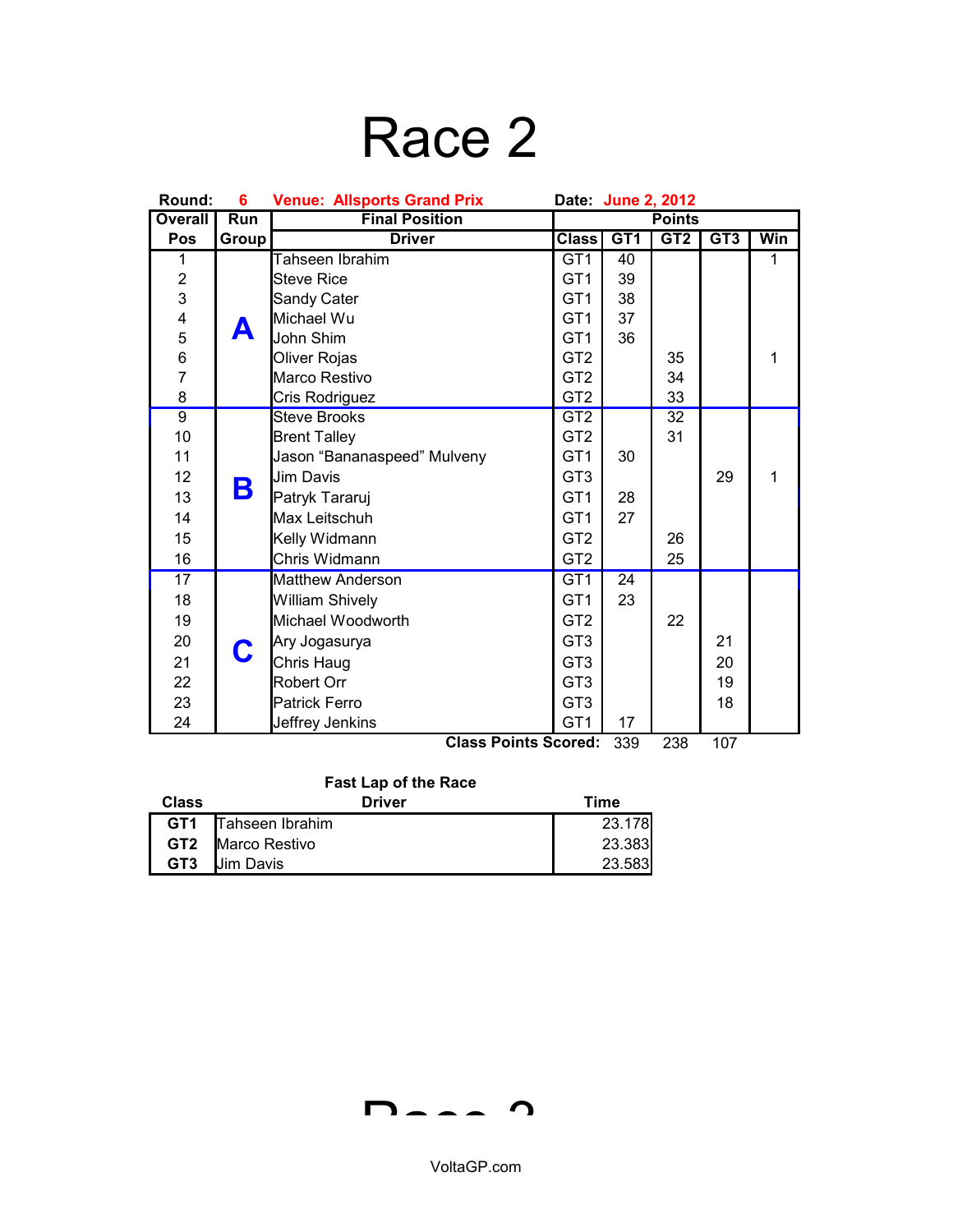## Race 2

| Round:         | 6     | <b>Venue: Allsports Grand Prix</b> | Date: June 2, 2012 |                 |                 |                 |              |
|----------------|-------|------------------------------------|--------------------|-----------------|-----------------|-----------------|--------------|
| <b>Overall</b> | Run   | <b>Final Position</b>              | <b>Points</b>      |                 |                 |                 |              |
| Pos            | Group | <b>Driver</b>                      | <b>Class</b>       | GT <sub>1</sub> | GT <sub>2</sub> | GT <sub>3</sub> | Win          |
| 1              |       | Tahseen Ibrahim                    | GT <sub>1</sub>    | 40              |                 |                 | 1            |
| $\overline{c}$ |       | <b>Steve Rice</b>                  | GT <sub>1</sub>    | 39              |                 |                 |              |
| 3              |       | Sandy Cater                        | GT <sub>1</sub>    | 38              |                 |                 |              |
| $\frac{4}{5}$  |       | Michael Wu                         | GT <sub>1</sub>    | 37              |                 |                 |              |
|                |       | John Shim                          | GT <sub>1</sub>    | 36              |                 |                 |              |
| 6              |       | Oliver Rojas                       | GT <sub>2</sub>    |                 | 35              |                 | 1            |
| $\overline{7}$ |       | Marco Restivo                      | GT <sub>2</sub>    |                 | 34              |                 |              |
| 8              |       | Cris Rodriguez                     | GT <sub>2</sub>    |                 | 33              |                 |              |
| $\overline{9}$ |       | <b>Steve Brooks</b>                | GT2                |                 | $\overline{32}$ |                 |              |
| 10             |       | <b>Brent Talley</b>                | GT <sub>2</sub>    |                 | 31              |                 |              |
| 11             |       | Jason "Bananaspeed" Mulveny        | GT <sub>1</sub>    | 30              |                 |                 |              |
| 12             |       | <b>Jim Davis</b>                   | GT <sub>3</sub>    |                 |                 | 29              | $\mathbf{1}$ |
| 13             | B     | Patryk Tararuj                     | GT <sub>1</sub>    | 28              |                 |                 |              |
| 14             |       | Max Leitschuh                      | GT <sub>1</sub>    | 27              |                 |                 |              |
| 15             |       | Kelly Widmann                      | GT <sub>2</sub>    |                 | 26              |                 |              |
| 16             |       | Chris Widmann                      | GT <sub>2</sub>    |                 | 25              |                 |              |
| 17             |       | <b>Matthew Anderson</b>            | GT <sub>1</sub>    | 24              |                 |                 |              |
| 18             |       | William Shively                    | GT <sub>1</sub>    | 23              |                 |                 |              |
| 19             |       | Michael Woodworth                  | GT <sub>2</sub>    |                 | 22              |                 |              |
| 20             |       | Ary Jogasurya                      | GT <sub>3</sub>    |                 |                 | 21              |              |
| 21             | C     | Chris Haug                         | GT <sub>3</sub>    |                 |                 | 20              |              |
| 22             |       | Robert Orr                         | GT <sub>3</sub>    |                 |                 | 19              |              |
| 23             |       | <b>Patrick Ferro</b>               | GT <sub>3</sub>    |                 |                 | 18              |              |
| 24             |       | Jeffrey Jenkins                    | GT <sub>1</sub>    | 17              |                 |                 |              |
|                |       | Close Deinte Conveal               |                    | 220             | იიი             | 107             |              |

**Class Points Scored:** 339 238 107

### **Fast Lap of the Race**

| <b>Class</b>    | <b>Driver</b>              | Time   |
|-----------------|----------------------------|--------|
|                 | <b>GT1</b> Tahseen Ibrahim | 23.178 |
|                 | <b>GT2</b> Marco Restivo   | 23.383 |
| GT <sub>3</sub> | <b>Uim Davis</b>           | 23.583 |

 $D - - - 2$